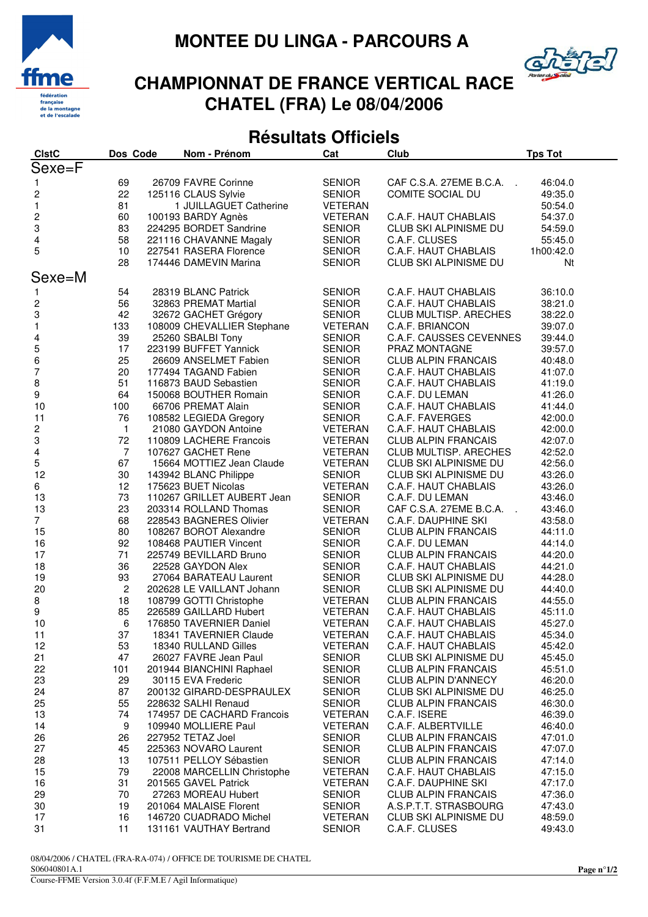



## **CHAMPIONNAT DE FRANCE VERTICAL RACE CHATEL (FRA) Le 08/04/2006**

### **Résultats Officiels**

| <b>CIstC</b>            | Dos Code       | Nom - Prénom               | Cat            | Club                           | <b>Tps Tot</b> |
|-------------------------|----------------|----------------------------|----------------|--------------------------------|----------------|
| Sexe=F                  |                |                            |                |                                |                |
|                         |                | 26709 FAVRE Corinne        |                | CAF C.S.A. 27EME B.C.A.        |                |
| $\mathbf{1}$            | 69             |                            | <b>SENIOR</b>  | $\sim$                         | 46:04.0        |
| $\overline{\mathbf{c}}$ | 22             | 125116 CLAUS Sylvie        | <b>SENIOR</b>  | COMITE SOCIAL DU               | 49:35.0        |
| $\mathbf{1}$            | 81             | 1 JUILLAGUET Catherine     | <b>VETERAN</b> |                                | 50:54.0        |
| $\frac{2}{3}$           | 60             | 100193 BARDY Agnès         | <b>VETERAN</b> | C.A.F. HAUT CHABLAIS           | 54:37.0        |
|                         | 83             | 224295 BORDET Sandrine     | <b>SENIOR</b>  | CLUB SKI ALPINISME DU          | 54:59.0        |
| 4                       | 58             | 221116 CHAVANNE Magaly     | <b>SENIOR</b>  | C.A.F. CLUSES                  | 55:45.0        |
| 5                       | 10             | 227541 RASERA Florence     | <b>SENIOR</b>  | C.A.F. HAUT CHABLAIS           | 1h00:42.0      |
|                         | 28             | 174446 DAMEVIN Marina      | <b>SENIOR</b>  | CLUB SKI ALPINISME DU          | Nt             |
| Sexe=M                  |                |                            |                |                                |                |
| 1                       | 54             | 28319 BLANC Patrick        | <b>SENIOR</b>  | C.A.F. HAUT CHABLAIS           | 36:10.0        |
| $\overline{\mathbf{c}}$ | 56             | 32863 PREMAT Martial       | <b>SENIOR</b>  | C.A.F. HAUT CHABLAIS           | 38:21.0        |
| 3                       | 42             | 32672 GACHET Grégory       | <b>SENIOR</b>  | CLUB MULTISP. ARECHES          | 38:22.0        |
| $\mathbf{1}$            | 133            | 108009 CHEVALLIER Stephane | <b>VETERAN</b> | C.A.F. BRIANCON                | 39:07.0        |
|                         | 39             | 25260 SBALBI Tony          | <b>SENIOR</b>  | <b>C.A.F. CAUSSES CEVENNES</b> | 39:44.0        |
| 4                       | 17             | 223199 BUFFET Yannick      | <b>SENIOR</b>  | PRAZ MONTAGNE                  |                |
| $\frac{5}{6}$           |                |                            |                |                                | 39:57.0        |
|                         | 25             | 26609 ANSELMET Fabien      | <b>SENIOR</b>  | <b>CLUB ALPIN FRANCAIS</b>     | 40:48.0        |
| $\overline{7}$          | 20             | 177494 TAGAND Fabien       | <b>SENIOR</b>  | C.A.F. HAUT CHABLAIS           | 41:07.0        |
| 8                       | 51             | 116873 BAUD Sebastien      | <b>SENIOR</b>  | C.A.F. HAUT CHABLAIS           | 41:19.0        |
| 9                       | 64             | 150068 BOUTHER Romain      | <b>SENIOR</b>  | C.A.F. DU LEMAN                | 41:26.0        |
| 10                      | 100            | 66706 PREMAT Alain         | <b>SENIOR</b>  | C.A.F. HAUT CHABLAIS           | 41:44.0        |
| 11                      | 76             | 108582 LEGIEDA Gregory     | <b>SENIOR</b>  | C.A.F. FAVERGES                | 42:00.0        |
| $\overline{\mathbf{c}}$ | $\mathbf{1}$   | 21080 GAYDON Antoine       | VETERAN        | C.A.F. HAUT CHABLAIS           | 42:00.0        |
| 3                       | 72             | 110809 LACHERE Francois    | <b>VETERAN</b> | <b>CLUB ALPIN FRANCAIS</b>     | 42:07.0        |
| $\overline{\mathbf{4}}$ | $\overline{7}$ | 107627 GACHET Rene         | <b>VETERAN</b> | CLUB MULTISP. ARECHES          | 42:52.0        |
| 5                       | 67             | 15664 MOTTIEZ Jean Claude  | <b>VETERAN</b> | CLUB SKI ALPINISME DU          | 42:56.0        |
| 12                      | 30             | 143942 BLANC Philippe      | <b>SENIOR</b>  | CLUB SKI ALPINISME DU          | 43:26.0        |
| 6                       | 12             | 175623 BUET Nicolas        | VETERAN        | C.A.F. HAUT CHABLAIS           | 43:26.0        |
| 13                      | 73             | 110267 GRILLET AUBERT Jean | <b>SENIOR</b>  | C.A.F. DU LEMAN                | 43:46.0        |
| 13                      | 23             | 203314 ROLLAND Thomas      | <b>SENIOR</b>  | CAF C.S.A. 27EME B.C.A.        | 43:46.0        |
| $\overline{7}$          | 68             | 228543 BAGNERES Olivier    | <b>VETERAN</b> | C.A.F. DAUPHINE SKI            | 43:58.0        |
| 15                      | 80             | 108267 BOROT Alexandre     | <b>SENIOR</b>  | <b>CLUB ALPIN FRANCAIS</b>     | 44:11.0        |
| 16                      | 92             | 108468 PAUTIER Vincent     | <b>SENIOR</b>  | C.A.F. DU LEMAN                | 44:14.0        |
| 17                      | 71             | 225749 BEVILLARD Bruno     | <b>SENIOR</b>  | <b>CLUB ALPIN FRANCAIS</b>     | 44:20.0        |
| 18                      | 36             | 22528 GAYDON Alex          | <b>SENIOR</b>  | C.A.F. HAUT CHABLAIS           | 44:21.0        |
| 19                      | 93             | 27064 BARATEAU Laurent     | <b>SENIOR</b>  | CLUB SKI ALPINISME DU          | 44:28.0        |
| 20                      | $\overline{c}$ | 202628 LE VAILLANT Johann  | <b>SENIOR</b>  | CLUB SKI ALPINISME DU          | 44:40.0        |
| 8                       | 18             | 108799 GOTTI Christophe    | VETERAN        | <b>CLUB ALPIN FRANCAIS</b>     | 44:55.0        |
| 9                       | 85             | 226589 GAILLARD Hubert     | VETERAN        | C.A.F. HAUT CHABLAIS           | 45:11.0        |
| 10                      | 6              | 176850 TAVERNIER Daniel    | <b>VETERAN</b> | C.A.F. HAUT CHABLAIS           | 45:27.0        |
| 11                      | 37             | 18341 TAVERNIER Claude     | <b>VETERAN</b> | C.A.F. HAUT CHABLAIS           | 45:34.0        |
| 12                      | 53             | 18340 RULLAND Gilles       | VETERAN        | C.A.F. HAUT CHABLAIS           | 45:42.0        |
| 21                      | 47             | 26027 FAVRE Jean Paul      | <b>SENIOR</b>  | CLUB SKI ALPINISME DU          | 45:45.0        |
| 22                      | 101            | 201944 BIANCHINI Raphael   | <b>SENIOR</b>  | <b>CLUB ALPIN FRANCAIS</b>     | 45:51.0        |
| 23                      | 29             | 30115 EVA Frederic         | <b>SENIOR</b>  | <b>CLUB ALPIN D'ANNECY</b>     | 46:20.0        |
| 24                      | 87             | 200132 GIRARD-DESPRAULEX   | <b>SENIOR</b>  | <b>CLUB SKI ALPINISME DU</b>   | 46:25.0        |
| 25                      | 55             | 228632 SALHI Renaud        | <b>SENIOR</b>  | <b>CLUB ALPIN FRANCAIS</b>     | 46:30.0        |
| 13                      | 74             | 174957 DE CACHARD Francois | VETERAN        | C.A.F. ISERE                   | 46:39.0        |
| 14                      | 9              | 109940 MOLLIERE Paul       | VETERAN        | C.A.F. ALBERTVILLE             | 46:40.0        |
| 26                      | 26             | 227952 TETAZ Joel          | <b>SENIOR</b>  | <b>CLUB ALPIN FRANCAIS</b>     | 47:01.0        |
| 27                      | 45             | 225363 NOVARO Laurent      | <b>SENIOR</b>  | <b>CLUB ALPIN FRANCAIS</b>     | 47:07.0        |
| 28                      | 13             | 107511 PELLOY Sébastien    | <b>SENIOR</b>  | <b>CLUB ALPIN FRANCAIS</b>     | 47:14.0        |
| 15                      | 79             | 22008 MARCELLIN Christophe | VETERAN        | C.A.F. HAUT CHABLAIS           | 47:15.0        |
| 16                      | 31             | 201565 GAVEL Patrick       | VETERAN        | C.A.F. DAUPHINE SKI            | 47:17.0        |
| 29                      | 70             | 27263 MOREAU Hubert        | <b>SENIOR</b>  | <b>CLUB ALPIN FRANCAIS</b>     | 47:36.0        |
| 30                      | 19             | 201064 MALAISE Florent     | <b>SENIOR</b>  | A.S.P.T.T. STRASBOURG          | 47:43.0        |
| 17                      | 16             | 146720 CUADRADO Michel     | VETERAN        | CLUB SKI ALPINISME DU          | 48:59.0        |
| 31                      | 11             | 131161 VAUTHAY Bertrand    | <b>SENIOR</b>  | C.A.F. CLUSES                  | 49:43.0        |
|                         |                |                            |                |                                |                |

08/04/2006 / CHATEL (FRA-RA-074) / OFFICE DE TOURISME DE CHATEL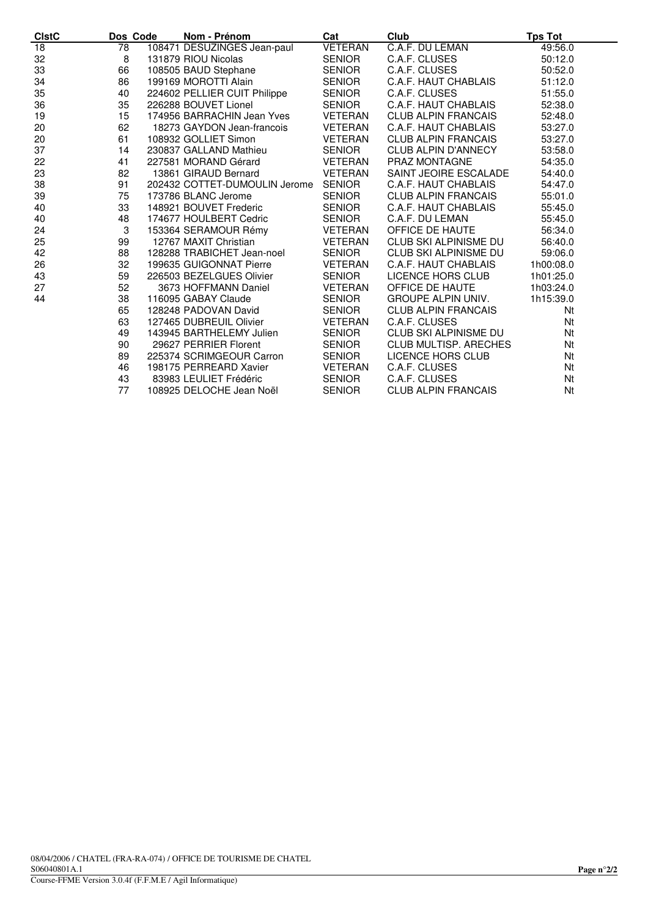| <b>CIstC</b>    | Dos Code | Nom - Prénom                  | Cat            | Club                         | <b>Tps Tot</b> |
|-----------------|----------|-------------------------------|----------------|------------------------------|----------------|
| $\overline{18}$ | 78       | 108471 DESUZINGES Jean-paul   | <b>VETERAN</b> | C.A.F. DU LEMAN              | 49:56.0        |
| 32              | 8        | 131879 RIOU Nicolas           | <b>SENIOR</b>  | C.A.F. CLUSES                | 50:12.0        |
| 33              | 66       | 108505 BAUD Stephane          | <b>SENIOR</b>  | C.A.F. CLUSES                | 50:52.0        |
| 34              | 86       | 199169 MOROTTI Alain          | <b>SENIOR</b>  | C.A.F. HAUT CHABLAIS         | 51:12.0        |
| 35              | 40       | 224602 PELLIER CUIT Philippe  | <b>SENIOR</b>  | C.A.F. CLUSES                | 51:55.0        |
| 36              | 35       | 226288 BOUVET Lionel          | SENIOR         | C.A.F. HAUT CHABLAIS         | 52:38.0        |
| 19              | 15       | 174956 BARRACHIN Jean Yves    | <b>VETERAN</b> | <b>CLUB ALPIN FRANCAIS</b>   | 52:48.0        |
| 20              | 62       | 18273 GAYDON Jean-francois    | <b>VETERAN</b> | C.A.F. HAUT CHABLAIS         | 53:27.0        |
| 20              | 61       | 108932 GOLLIET Simon          | <b>VETERAN</b> | CLUB ALPIN FRANCAIS          | 53:27.0        |
| 37              | 14       | 230837 GALLAND Mathieu        | SENIOR         | <b>CLUB ALPIN D'ANNECY</b>   | 53:58.0        |
| 22              | 41       | 227581 MORAND Gérard          | <b>VETERAN</b> | <b>PRAZ MONTAGNE</b>         | 54:35.0        |
| 23              | 82       | 13861 GIRAUD Bernard          | <b>VETERAN</b> | SAINT JEOIRE ESCALADE        | 54:40.0        |
| 38              | 91       | 202432 COTTET-DUMOULIN Jerome | SENIOR         | C.A.F. HAUT CHABLAIS         | 54:47.0        |
| 39              | 75       | 173786 BLANC Jerome           | SENIOR         | <b>CLUB ALPIN FRANCAIS</b>   | 55:01.0        |
| 40              | 33       | 148921 BOUVET Frederic        | SENIOR         | C.A.F. HAUT CHABLAIS         | 55:45.0        |
| 40              | 48       | 174677 HOULBERT Cedric        | <b>SENIOR</b>  | C.A.F. DU LEMAN              | 55:45.0        |
| 24              | 3        | 153364 SERAMOUR Rémy          | <b>VETERAN</b> | OFFICE DE HAUTE              | 56:34.0        |
| 25              | 99       | 12767 MAXIT Christian         | <b>VETERAN</b> | <b>CLUB SKI ALPINISME DU</b> | 56:40.0        |
| 42              | 88       | 128288 TRABICHET Jean-noel    | <b>SENIOR</b>  | CLUB SKI ALPINISME DU        | 59:06.0        |
| 26              | 32       | 199635 GUIGONNAT Pierre       | <b>VETERAN</b> | C.A.F. HAUT CHABLAIS         | 1h00:08.0      |
| 43              | 59       | 226503 BEZELGUES Olivier      | SENIOR         | LICENCE HORS CLUB            | 1h01:25.0      |
| 27              | 52       | 3673 HOFFMANN Daniel          | <b>VETERAN</b> | OFFICE DE HAUTE              | 1h03:24.0      |
| 44              | 38       | 116095 GABAY Claude           | SENIOR         | <b>GROUPE ALPIN UNIV.</b>    | 1h15:39.0      |
|                 | 65       | 128248 PADOVAN David          | SENIOR         | <b>CLUB ALPIN FRANCAIS</b>   | Nt             |
|                 | 63       | 127465 DUBREUIL Olivier       | <b>VETERAN</b> | C.A.F. CLUSES                | Nt             |
|                 | 49       | 143945 BARTHELEMY Julien      | SENIOR         | CLUB SKI ALPINISME DU        | Nt             |
|                 | 90       | 29627 PERRIER Florent         | SENIOR         | <b>CLUB MULTISP, ARECHES</b> | Nt             |
|                 | 89       | 225374 SCRIMGEOUR Carron      | <b>SENIOR</b>  | LICENCE HORS CLUB            | Nt             |
|                 | 46       | 198175 PERREARD Xavier        | <b>VETERAN</b> | C.A.F. CLUSES                | Nt             |
|                 | 43       | 83983 LEULIET Frédéric        | <b>SENIOR</b>  | C.A.F. CLUSES                | Nt             |
|                 | 77       | 108925 DELOCHE Jean Noël      | <b>SENIOR</b>  | <b>CLUB ALPIN FRANCAIS</b>   | Nt             |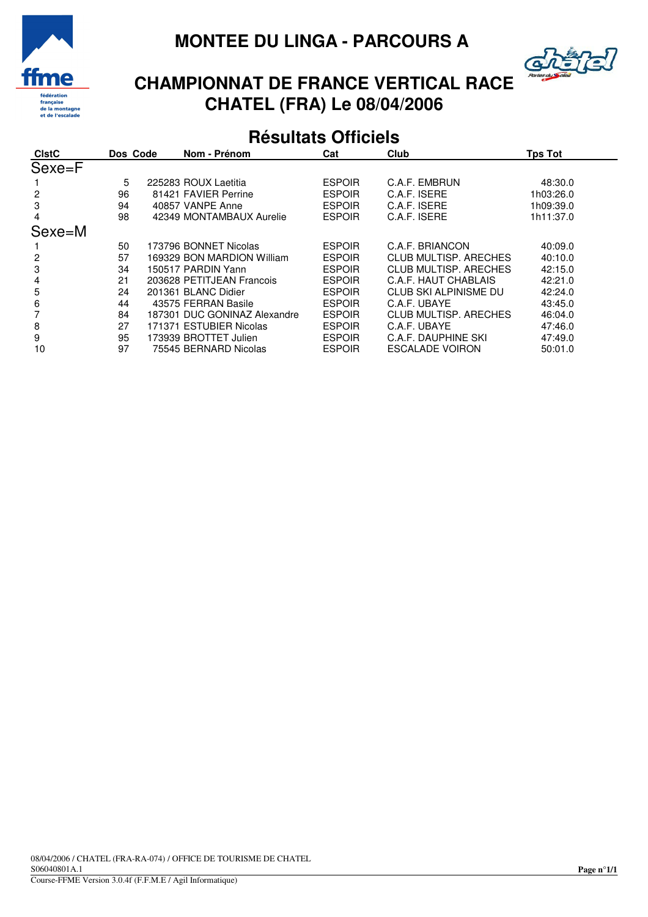



# **CHAMPIONNAT DE FRANCE VERTICAL RACE CHATEL (FRA) Le 08/04/2006**

#### **Résultats Officiels**

|    | Nom - Prénom | Cat                                                                                                                                                                                                                                                                                                                                                               | Club                         | <b>Tps Tot</b> |
|----|--------------|-------------------------------------------------------------------------------------------------------------------------------------------------------------------------------------------------------------------------------------------------------------------------------------------------------------------------------------------------------------------|------------------------------|----------------|
|    |              |                                                                                                                                                                                                                                                                                                                                                                   |                              |                |
| 5  |              | <b>ESPOIR</b>                                                                                                                                                                                                                                                                                                                                                     | C.A.F. EMBRUN                | 48:30.0        |
| 96 |              | <b>ESPOIR</b>                                                                                                                                                                                                                                                                                                                                                     | C.A.F. ISERE                 | 1h03:26.0      |
| 94 |              | <b>ESPOIR</b>                                                                                                                                                                                                                                                                                                                                                     | C.A.F. ISERE                 | 1h09:39.0      |
| 98 |              | <b>ESPOIR</b>                                                                                                                                                                                                                                                                                                                                                     | C.A.F. ISERE                 | 1h11:37.0      |
|    |              |                                                                                                                                                                                                                                                                                                                                                                   |                              |                |
| 50 |              | <b>ESPOIR</b>                                                                                                                                                                                                                                                                                                                                                     | C.A.F. BRIANCON              | 40:09.0        |
| 57 |              | <b>ESPOIR</b>                                                                                                                                                                                                                                                                                                                                                     | <b>CLUB MULTISP, ARECHES</b> | 40:10.0        |
| 34 |              | <b>ESPOIR</b>                                                                                                                                                                                                                                                                                                                                                     | CLUB MULTISP, ARECHES        | 42:15.0        |
| 21 |              | <b>ESPOIR</b>                                                                                                                                                                                                                                                                                                                                                     | C.A.F. HAUT CHABLAIS         | 42:21.0        |
| 24 |              | <b>ESPOIR</b>                                                                                                                                                                                                                                                                                                                                                     | CLUB SKI ALPINISME DU        | 42:24.0        |
| 44 |              | <b>ESPOIR</b>                                                                                                                                                                                                                                                                                                                                                     | C.A.F. UBAYE                 | 43:45.0        |
| 84 |              | <b>ESPOIR</b>                                                                                                                                                                                                                                                                                                                                                     | <b>CLUB MULTISP, ARECHES</b> | 46:04.0        |
| 27 |              | <b>ESPOIR</b>                                                                                                                                                                                                                                                                                                                                                     | C.A.F. UBAYE                 | 47:46.0        |
| 95 |              | <b>ESPOIR</b>                                                                                                                                                                                                                                                                                                                                                     | C.A.F. DAUPHINE SKI          | 47:49.0        |
| 97 |              | <b>ESPOIR</b>                                                                                                                                                                                                                                                                                                                                                     | <b>ESCALADE VOIRON</b>       | 50:01.0        |
|    | Dos Code     | 225283 ROUX Laetitia<br>81421 FAVIER Perrine<br>40857 VANPE Anne<br>42349 MONTAMBAUX Aurelie<br>173796 BONNET Nicolas<br>169329 BON MARDION William<br>150517 PARDIN Yann<br>203628 PETITJEAN Francois<br>201361 BLANC Didier<br>43575 FERRAN Basile<br>187301 DUC GONINAZ Alexandre<br>171371 ESTUBIER Nicolas<br>173939 BROTTET Julien<br>75545 BERNARD Nicolas |                              |                |